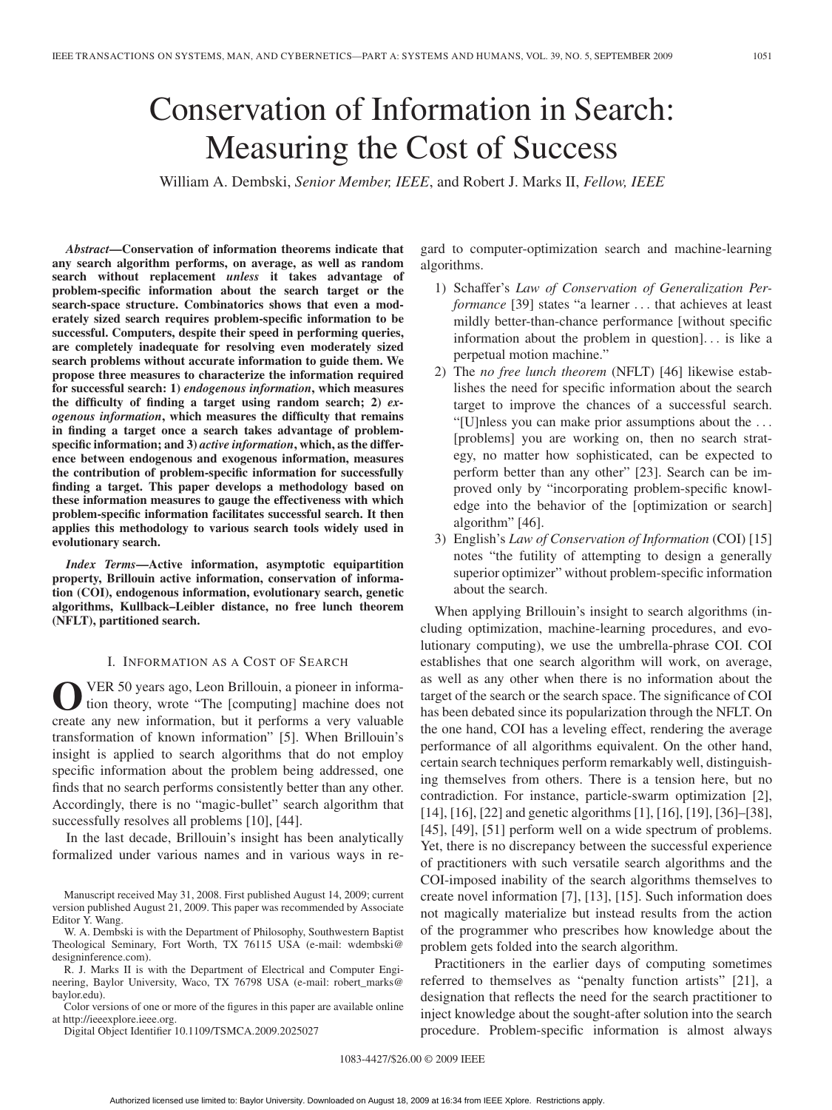# Conservation of Information in Search: Measuring the Cost of Success

William A. Dembski, *Senior Member, IEEE*, and Robert J. Marks II, *Fellow, IEEE*

*Abstract***—Conservation of information theorems indicate that any search algorithm performs, on average, as well as random search without replacement** *unless* **it takes advantage of problem-specific information about the search target or the search-space structure. Combinatorics shows that even a moderately sized search requires problem-specific information to be successful. Computers, despite their speed in performing queries, are completely inadequate for resolving even moderately sized search problems without accurate information to guide them. We propose three measures to characterize the information required for successful search: 1)** *endogenous information***, which measures the difficulty of finding a target using random search; 2)** *exogenous information***, which measures the difficulty that remains in finding a target once a search takes advantage of problemspecific information; and 3)** *active information***, which, as the difference between endogenous and exogenous information, measures the contribution of problem-specific information for successfully finding a target. This paper develops a methodology based on these information measures to gauge the effectiveness with which problem-specific information facilitates successful search. It then applies this methodology to various search tools widely used in evolutionary search.**

*Index Terms***—Active information, asymptotic equipartition property, Brillouin active information, conservation of information (COI), endogenous information, evolutionary search, genetic algorithms, Kullback–Leibler distance, no free lunch theorem (NFLT), partitioned search.**

# I. INFORMATION AS A COST OF SEARCH

**O**VER 50 years ago, Leon Brillouin, a pioneer in informa-<br>tion theory, wrote "The [computing] machine does not create any new information, but it performs a very valuable transformation of known information" [5]. When Brillouin's insight is applied to search algorithms that do not employ specific information about the problem being addressed, one finds that no search performs consistently better than any other. Accordingly, there is no "magic-bullet" search algorithm that successfully resolves all problems [10], [44].

In the last decade, Brillouin's insight has been analytically formalized under various names and in various ways in re-

Manuscript received May 31, 2008. First published August 14, 2009; current version published August 21, 2009. This paper was recommended by Associate Editor Y. Wang.

W. A. Dembski is with the Department of Philosophy, Southwestern Baptist Theological Seminary, Fort Worth, TX 76115 USA (e-mail: wdembski@ designinference.com).

R. J. Marks II is with the Department of Electrical and Computer Engineering, Baylor University, Waco, TX 76798 USA (e-mail: robert\_marks@ baylor.edu).

Color versions of one or more of the figures in this paper are available online at http://ieeexplore.ieee.org.

Digital Object Identifier 10.1109/TSMCA.2009.2025027

gard to computer-optimization search and machine-learning algorithms.

- 1) Schaffer's *Law of Conservation of Generalization Performance* [39] states "a learner ... that achieves at least mildly better-than-chance performance [without specific information about the problem in question]... is like a perpetual motion machine."
- 2) The *no free lunch theorem* (NFLT) [46] likewise establishes the need for specific information about the search target to improve the chances of a successful search. "[U]nless you can make prior assumptions about the ... [problems] you are working on, then no search strategy, no matter how sophisticated, can be expected to perform better than any other" [23]. Search can be improved only by "incorporating problem-specific knowledge into the behavior of the [optimization or search] algorithm" [46].
- 3) English's *Law of Conservation of Information* (COI) [15] notes "the futility of attempting to design a generally superior optimizer" without problem-specific information about the search.

When applying Brillouin's insight to search algorithms (including optimization, machine-learning procedures, and evolutionary computing), we use the umbrella-phrase COI. COI establishes that one search algorithm will work, on average, as well as any other when there is no information about the target of the search or the search space. The significance of COI has been debated since its popularization through the NFLT. On the one hand, COI has a leveling effect, rendering the average performance of all algorithms equivalent. On the other hand, certain search techniques perform remarkably well, distinguishing themselves from others. There is a tension here, but no contradiction. For instance, particle-swarm optimization [2], [14], [16], [22] and genetic algorithms [1], [16], [19], [36]–[38], [45], [49], [51] perform well on a wide spectrum of problems. Yet, there is no discrepancy between the successful experience of practitioners with such versatile search algorithms and the COI-imposed inability of the search algorithms themselves to create novel information [7], [13], [15]. Such information does not magically materialize but instead results from the action of the programmer who prescribes how knowledge about the problem gets folded into the search algorithm.

Practitioners in the earlier days of computing sometimes referred to themselves as "penalty function artists" [21], a designation that reflects the need for the search practitioner to inject knowledge about the sought-after solution into the search procedure. Problem-specific information is almost always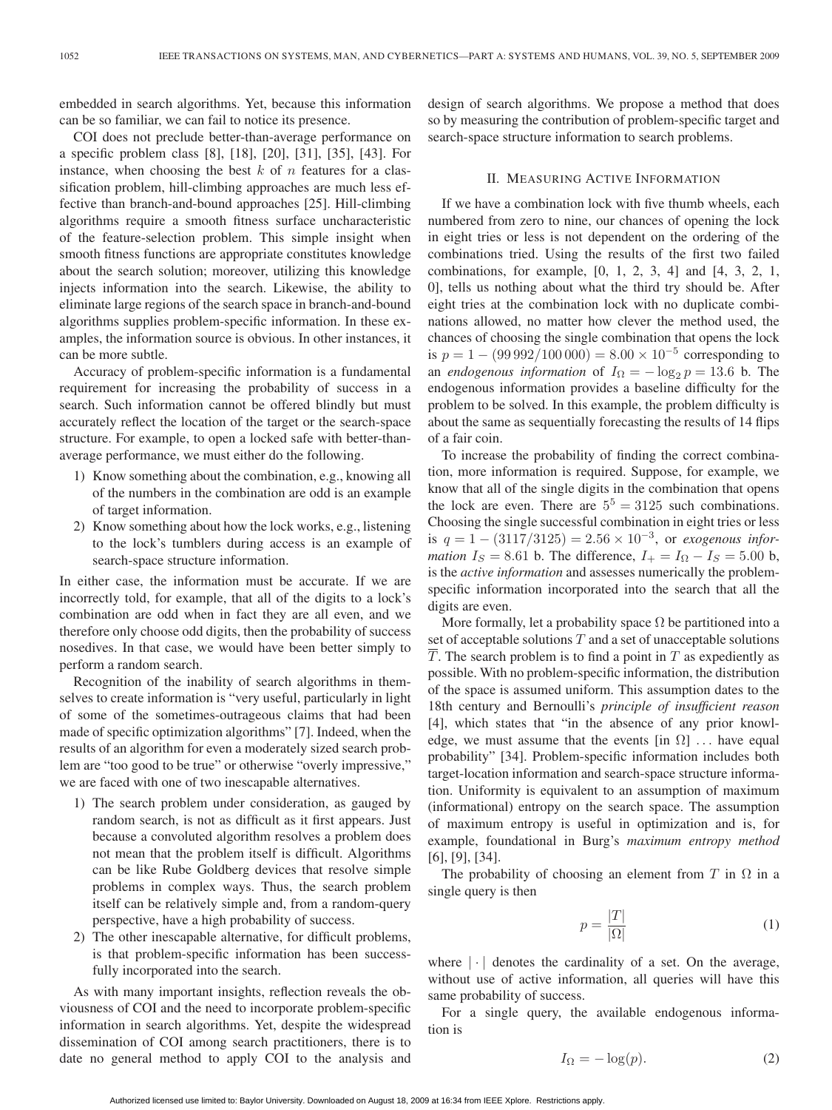embedded in search algorithms. Yet, because this information can be so familiar, we can fail to notice its presence.

COI does not preclude better-than-average performance on a specific problem class [8], [18], [20], [31], [35], [43]. For instance, when choosing the best  $k$  of  $n$  features for a classification problem, hill-climbing approaches are much less effective than branch-and-bound approaches [25]. Hill-climbing algorithms require a smooth fitness surface uncharacteristic of the feature-selection problem. This simple insight when smooth fitness functions are appropriate constitutes knowledge about the search solution; moreover, utilizing this knowledge injects information into the search. Likewise, the ability to eliminate large regions of the search space in branch-and-bound algorithms supplies problem-specific information. In these examples, the information source is obvious. In other instances, it can be more subtle.

Accuracy of problem-specific information is a fundamental requirement for increasing the probability of success in a search. Such information cannot be offered blindly but must accurately reflect the location of the target or the search-space structure. For example, to open a locked safe with better-thanaverage performance, we must either do the following.

- 1) Know something about the combination, e.g., knowing all of the numbers in the combination are odd is an example of target information.
- 2) Know something about how the lock works, e.g., listening to the lock's tumblers during access is an example of search-space structure information.

In either case, the information must be accurate. If we are incorrectly told, for example, that all of the digits to a lock's combination are odd when in fact they are all even, and we therefore only choose odd digits, then the probability of success nosedives. In that case, we would have been better simply to perform a random search.

Recognition of the inability of search algorithms in themselves to create information is "very useful, particularly in light of some of the sometimes-outrageous claims that had been made of specific optimization algorithms" [7]. Indeed, when the results of an algorithm for even a moderately sized search problem are "too good to be true" or otherwise "overly impressive," we are faced with one of two inescapable alternatives.

- 1) The search problem under consideration, as gauged by random search, is not as difficult as it first appears. Just because a convoluted algorithm resolves a problem does not mean that the problem itself is difficult. Algorithms can be like Rube Goldberg devices that resolve simple problems in complex ways. Thus, the search problem itself can be relatively simple and, from a random-query perspective, have a high probability of success.
- 2) The other inescapable alternative, for difficult problems, is that problem-specific information has been successfully incorporated into the search.

As with many important insights, reflection reveals the obviousness of COI and the need to incorporate problem-specific information in search algorithms. Yet, despite the widespread dissemination of COI among search practitioners, there is to date no general method to apply COI to the analysis and design of search algorithms. We propose a method that does so by measuring the contribution of problem-specific target and search-space structure information to search problems.

#### II. MEASURING ACTIVE INFORMATION

If we have a combination lock with five thumb wheels, each numbered from zero to nine, our chances of opening the lock in eight tries or less is not dependent on the ordering of the combinations tried. Using the results of the first two failed combinations, for example, [0, 1, 2, 3, 4] and [4, 3, 2, 1, 0], tells us nothing about what the third try should be. After eight tries at the combination lock with no duplicate combinations allowed, no matter how clever the method used, the chances of choosing the single combination that opens the lock is  $p = 1 - (99992/100000) = 8.00 \times 10^{-5}$  corresponding to an *endogenous information* of  $I_{\Omega} = -\log_2 p = 13.6$  b. The endogenous information provides a baseline difficulty for the problem to be solved. In this example, the problem difficulty is about the same as sequentially forecasting the results of 14 flips of a fair coin.

To increase the probability of finding the correct combination, more information is required. Suppose, for example, we know that all of the single digits in the combination that opens the lock are even. There are  $5^5 = 3125$  such combinations. Choosing the single successful combination in eight tries or less is  $q = 1 - (3117/3125) = 2.56 \times 10^{-3}$ , or *exogenous information*  $I_S = 8.61$  b. The difference,  $I_+ = I_{\Omega} - I_S = 5.00$  b, is the *active information* and assesses numerically the problemspecific information incorporated into the search that all the digits are even.

More formally, let a probability space  $\Omega$  be partitioned into a set of acceptable solutions  $T$  and a set of unacceptable solutions  $T$ . The search problem is to find a point in  $T$  as expediently as possible. With no problem-specific information, the distribution of the space is assumed uniform. This assumption dates to the 18th century and Bernoulli's *principle of insufficient reason* [4], which states that "in the absence of any prior knowledge, we must assume that the events  $\lceil \text{in } \Omega \rceil$  ... have equal probability" [34]. Problem-specific information includes both target-location information and search-space structure information. Uniformity is equivalent to an assumption of maximum (informational) entropy on the search space. The assumption of maximum entropy is useful in optimization and is, for example, foundational in Burg's *maximum entropy method* [6], [9], [34].

The probability of choosing an element from T in  $\Omega$  in a single query is then

$$
p = \frac{|T|}{|\Omega|} \tag{1}
$$

where  $|\cdot|$  denotes the cardinality of a set. On the average, without use of active information, all queries will have this same probability of success.

For a single query, the available endogenous information is

$$
I_{\Omega} = -\log(p). \tag{2}
$$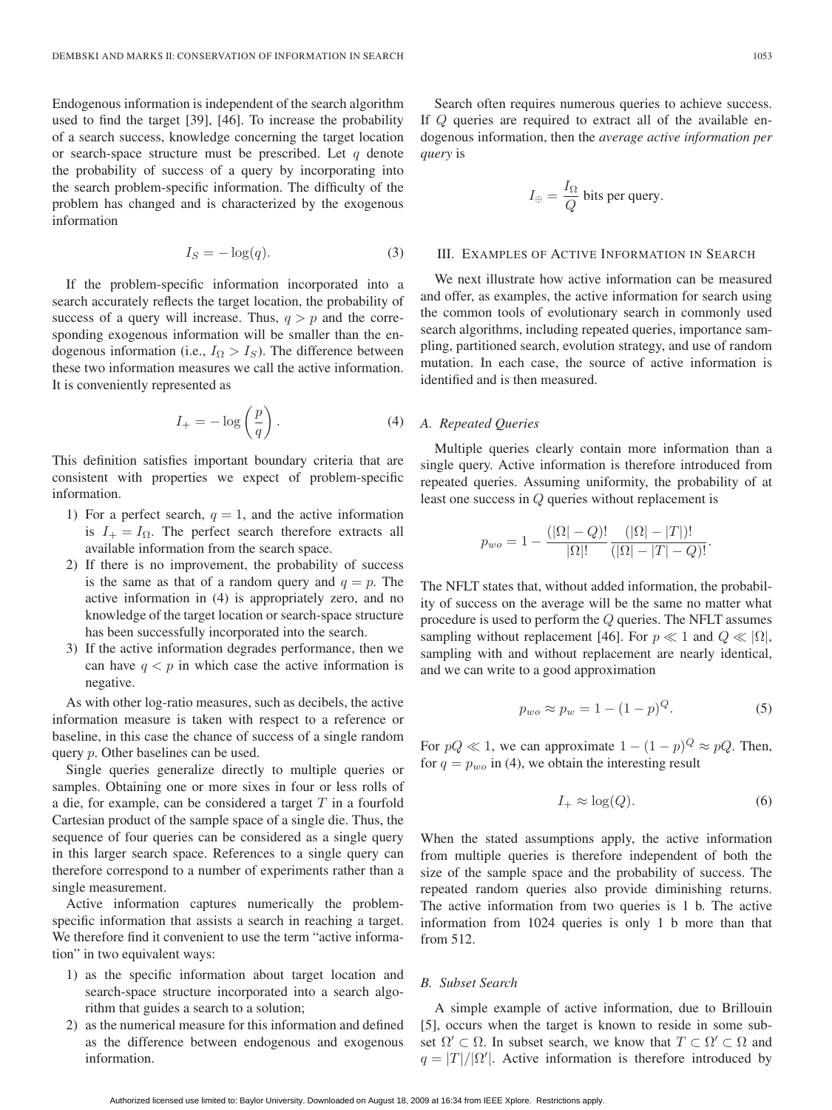Endogenous information is independent of the search algorithm used to find the target [39], [46]. To increase the probability of a search success, knowledge concerning the target location or search-space structure must be prescribed. Let  $q$  denote the probability of success of a query by incorporating into the search problem-specific information. The difficulty of the problem has changed and is characterized by the exogenous information

$$
I_S = -\log(q). \tag{3}
$$

If the problem-specific information incorporated into a search accurately reflects the target location, the probability of success of a query will increase. Thus,  $q > p$  and the corresponding exogenous information will be smaller than the endogenous information (i.e.,  $I_{\Omega} > I_{S}$ ). The difference between these two information measures we call the active information. It is conveniently represented as

$$
I_{+} = -\log\left(\frac{p}{q}\right). \tag{4}
$$

This definition satisfies important boundary criteria that are consistent with properties we expect of problem-specific information.

- 1) For a perfect search,  $q = 1$ , and the active information is  $I_+ = I_\Omega$ . The perfect search therefore extracts all available information from the search space.
- 2) If there is no improvement, the probability of success is the same as that of a random query and  $q = p$ . The active information in (4) is appropriately zero, and no knowledge of the target location or search-space structure has been successfully incorporated into the search.
- 3) If the active information degrades performance, then we can have  $q < p$  in which case the active information is negative.

As with other log-ratio measures, such as decibels, the active information measure is taken with respect to a reference or baseline, in this case the chance of success of a single random query p. Other baselines can be used.

Single queries generalize directly to multiple queries or samples. Obtaining one or more sixes in four or less rolls of a die, for example, can be considered a target  $T$  in a fourfold Cartesian product of the sample space of a single die. Thus, the sequence of four queries can be considered as a single query in this larger search space. References to a single query can therefore correspond to a number of experiments rather than a single measurement.

Active information captures numerically the problemspecific information that assists a search in reaching a target. We therefore find it convenient to use the term "active information" in two equivalent ways:

- 1) as the specific information about target location and search-space structure incorporated into a search algorithm that guides a search to a solution;
- 2) as the numerical measure for this information and defined as the difference between endogenous and exogenous information.

Search often requires numerous queries to achieve success. If Q queries are required to extract all of the available endogenous information, then the *average active information per query* is

$$
I_{\oplus} = \frac{I_{\Omega}}{Q}
$$
 bits per query.

#### III. EXAMPLES OF ACTIVE INFORMATION IN SEARCH

We next illustrate how active information can be measured and offer, as examples, the active information for search using the common tools of evolutionary search in commonly used search algorithms, including repeated queries, importance sampling, partitioned search, evolution strategy, and use of random mutation. In each case, the source of active information is identified and is then measured.

#### *A. Repeated Queries*

Multiple queries clearly contain more information than a single query. Active information is therefore introduced from repeated queries. Assuming uniformity, the probability of at least one success in Q queries without replacement is

$$
p_{wo} = 1 - \frac{(|\Omega| - Q)!}{|\Omega|!} \frac{(|\Omega| - |T|)!}{(|\Omega| - |T| - Q)!}.
$$

The NFLT states that, without added information, the probability of success on the average will be the same no matter what procedure is used to perform the Q queries. The NFLT assumes sampling without replacement [46]. For  $p \ll 1$  and  $Q \ll |\Omega|$ , sampling with and without replacement are nearly identical, and we can write to a good approximation

$$
p_{wo} \approx p_w = 1 - (1 - p)^Q.
$$
 (5)

For  $pQ \ll 1$ , we can approximate  $1 - (1 - p)^Q \approx pQ$ . Then, for  $q = p_{wo}$  in (4), we obtain the interesting result

$$
I_+ \approx \log(Q). \tag{6}
$$

When the stated assumptions apply, the active information from multiple queries is therefore independent of both the size of the sample space and the probability of success. The repeated random queries also provide diminishing returns. The active information from two queries is 1 b. The active information from 1024 queries is only 1 b more than that from 512.

#### *B. Subset Search*

A simple example of active information, due to Brillouin [5], occurs when the target is known to reside in some subset  $\Omega' \subset \Omega$ . In subset search, we know that  $T \subset \Omega' \subset \Omega$  and  $q = |T|/|\Omega'|$ . Active information is therefore introduced by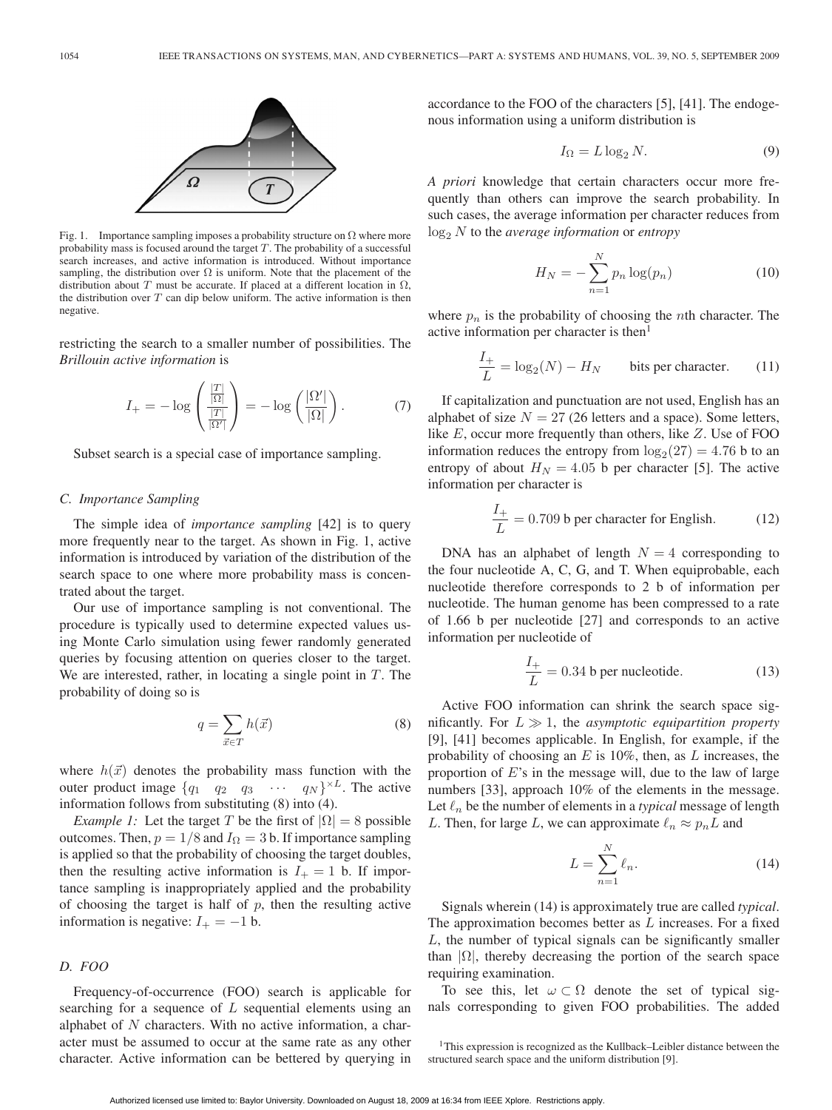

Fig. 1. Importance sampling imposes a probability structure on  $\Omega$  where more probability mass is focused around the target  $T$ . The probability of a successful search increases, and active information is introduced. Without importance sampling, the distribution over  $\Omega$  is uniform. Note that the placement of the distribution about T must be accurate. If placed at a different location in  $\Omega$ , the distribution over  $T$  can dip below uniform. The active information is then negative.

restricting the search to a smaller number of possibilities. The *Brillouin active information* is

$$
I_{+} = -\log\left(\frac{\frac{|T|}{|\Omega|}}{\frac{|T|}{|\Omega'|}}\right) = -\log\left(\frac{|\Omega'|}{|\Omega|}\right). \tag{7}
$$

Subset search is a special case of importance sampling.

#### *C. Importance Sampling*

The simple idea of *importance sampling* [42] is to query more frequently near to the target. As shown in Fig. 1, active information is introduced by variation of the distribution of the search space to one where more probability mass is concentrated about the target.

Our use of importance sampling is not conventional. The procedure is typically used to determine expected values using Monte Carlo simulation using fewer randomly generated queries by focusing attention on queries closer to the target. We are interested, rather, in locating a single point in  $T$ . The probability of doing so is

$$
q = \sum_{\vec{x} \in T} h(\vec{x}) \tag{8}
$$

where  $h(\vec{x})$  denotes the probability mass function with the outer product image  $\{q_1 \quad q_2 \quad q_3 \quad \cdots \quad q_N\}^{\times L}$ . The active information follows from substituting (8) into (4).

*Example 1:* Let the target T be the first of  $|\Omega| = 8$  possible outcomes. Then,  $p = 1/8$  and  $I_{\Omega} = 3$  b. If importance sampling is applied so that the probability of choosing the target doubles, then the resulting active information is  $I_+ = 1$  b. If importance sampling is inappropriately applied and the probability of choosing the target is half of  $p$ , then the resulting active information is negative:  $I_+ = -1$  b.

# *D. FOO*

Frequency-of-occurrence (FOO) search is applicable for searching for a sequence of  $L$  sequential elements using an alphabet of  $N$  characters. With no active information, a character must be assumed to occur at the same rate as any other character. Active information can be bettered by querying in accordance to the FOO of the characters [5], [41]. The endogenous information using a uniform distribution is

$$
I_{\Omega} = L \log_2 N. \tag{9}
$$

*A priori* knowledge that certain characters occur more frequently than others can improve the search probability. In such cases, the average information per character reduces from  $\log_2 N$  to the *average information* or *entropy* 

$$
H_N = -\sum_{n=1}^{N} p_n \log(p_n)
$$
 (10)

where  $p_n$  is the probability of choosing the *n*th character. The active information per character is then<sup>1</sup>

$$
\frac{I_+}{L} = \log_2(N) - H_N \qquad \text{bits per character.} \tag{11}
$$

If capitalization and punctuation are not used, English has an alphabet of size  $N = 27$  (26 letters and a space). Some letters, like E, occur more frequently than others, like Z. Use of FOO information reduces the entropy from  $\log_2(27) = 4.76$  b to an entropy of about  $H_N = 4.05$  b per character [5]. The active information per character is

$$
\frac{I_+}{L} = 0.709 \text{ b per character for English.} \tag{12}
$$

DNA has an alphabet of length  $N = 4$  corresponding to the four nucleotide A, C, G, and T. When equiprobable, each nucleotide therefore corresponds to 2 b of information per nucleotide. The human genome has been compressed to a rate of 1.66 b per nucleotide [27] and corresponds to an active information per nucleotide of

$$
\frac{I_+}{L} = 0.34 \text{ b per nucleotide.} \tag{13}
$$

Active FOO information can shrink the search space significantly. For  $L \gg 1$ , the *asymptotic equipartition property* [9], [41] becomes applicable. In English, for example, if the probability of choosing an  $E$  is 10%, then, as  $L$  increases, the proportion of  $E$ 's in the message will, due to the law of large numbers [33], approach 10% of the elements in the message. Let  $\ell_n$  be the number of elements in a *typical* message of length L. Then, for large L, we can approximate  $\ell_n \approx p_n L$  and

$$
L = \sum_{n=1}^{N} \ell_n.
$$
 (14)

Signals wherein (14) is approximately true are called *typical*. The approximation becomes better as  $L$  increases. For a fixed L, the number of typical signals can be significantly smaller than  $|\Omega|$ , thereby decreasing the portion of the search space requiring examination.

To see this, let  $\omega \subset \Omega$  denote the set of typical signals corresponding to given FOO probabilities. The added

<sup>&</sup>lt;sup>1</sup>This expression is recognized as the Kullback–Leibler distance between the structured search space and the uniform distribution [9].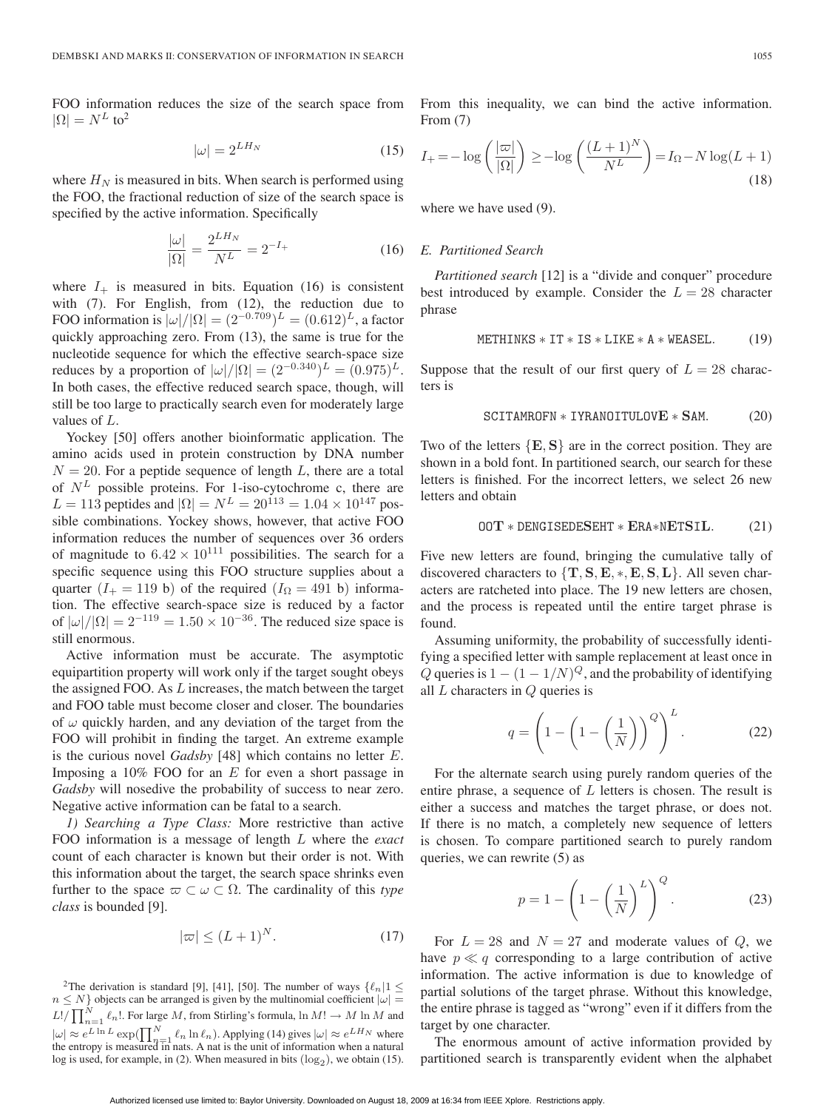FOO information reduces the size of the search space from  $|\Omega| = N^L$  to<sup>2</sup>

$$
|\omega| = 2^{LH_N} \tag{15}
$$

where  $H_N$  is measured in bits. When search is performed using the FOO, the fractional reduction of size of the search space is specified by the active information. Specifically

$$
\frac{|\omega|}{|\Omega|} = \frac{2^{LH_N}}{N^L} = 2^{-I_+}
$$
\n(16)

where  $I_+$  is measured in bits. Equation (16) is consistent with (7). For English, from (12), the reduction due to FOO information is  $|\omega|/|\Omega| = (2^{-0.709})^L = (0.612)^L$ , a factor quickly approaching zero. From (13), the same is true for the nucleotide sequence for which the effective search-space size reduces by a proportion of  $|\omega|/|\Omega| = (2^{-0.340})^L = (0.975)^L$ . In both cases, the effective reduced search space, though, will still be too large to practically search even for moderately large values of L.

Yockey [50] offers another bioinformatic application. The amino acids used in protein construction by DNA number  $N = 20$ . For a peptide sequence of length L, there are a total of  $N^L$  possible proteins. For 1-iso-cytochrome c, there are  $L = 113$  peptides and  $|\Omega| = N^L = 20^{113} = 1.04 \times 10^{147}$  possible combinations. Yockey shows, however, that active FOO information reduces the number of sequences over 36 orders of magnitude to  $6.42 \times 10^{111}$  possibilities. The search for a specific sequence using this FOO structure supplies about a quarter ( $I_+$  = 119 b) of the required ( $I_{\Omega}$  = 491 b) information. The effective search-space size is reduced by a factor of  $|\omega|/|\Omega| = 2^{-119} = 1.50 \times 10^{-36}$ . The reduced size space is still enormous.

Active information must be accurate. The asymptotic equipartition property will work only if the target sought obeys the assigned FOO. As  $L$  increases, the match between the target and FOO table must become closer and closer. The boundaries of  $\omega$  quickly harden, and any deviation of the target from the FOO will prohibit in finding the target. An extreme example is the curious novel *Gadsby* [48] which contains no letter E. Imposing a  $10\%$  FOO for an  $E$  for even a short passage in *Gadsby* will nosedive the probability of success to near zero. Negative active information can be fatal to a search.

*1) Searching a Type Class:* More restrictive than active FOO information is a message of length L where the *exact* count of each character is known but their order is not. With this information about the target, the search space shrinks even further to the space  $\varpi \subset \omega \subset \Omega$ . The cardinality of this *type class* is bounded [9].

$$
|\varpi| \le (L+1)^N. \tag{17}
$$

<sup>2</sup>The derivation is standard [9], [41], [50]. The number of ways  $\{\ell_n | 1 \leq$  $n \leq N$ } objects can be arranged is given by the multinomial coefficient  $|\omega| =$  $L!/\prod_{n=1}^{N} \ell_n!$ . For large M, from Stirling's formula,  $\ln M! \to M \ln M$  and  $|\omega| \approx e^{L \ln L} \exp\left(\prod_{n=1}^{N} \ell_n \ln \ell_n\right)$ . Applying (14) gives  $|\omega| \approx e^{L H_N}$  where the entropy is measured in nats. A nat is the unit of information when a natural log is used, for example, in (2). When measured in bits  $(\log_2)$ , we obtain (15). From this inequality, we can bind the active information. From (7)

$$
I_{+} = -\log\left(\frac{|\varpi|}{|\Omega|}\right) \ge -\log\left(\frac{(L+1)^{N}}{N^{L}}\right) = I_{\Omega} - N\log(L+1)
$$
\n(18)

where we have used (9).

## *E. Partitioned Search*

*Partitioned search* [12] is a "divide and conquer" procedure best introduced by example. Consider the  $L = 28$  character phrase

$$
METHINKS * IT * IS * LIKE * A * WEASEL.
$$
 (19)

Suppose that the result of our first query of  $L = 28$  characters is

SCTIONER 
$$
\ast
$$
 IYRANOTTULOVE  $\ast$  SAM. (20)

Two of the letters {**E**, **S**} are in the correct position. They are shown in a bold font. In partitioned search, our search for these letters is finished. For the incorrect letters, we select 26 new letters and obtain

$$
OOT * DENGISEDESET * ERA * NETSIL.
$$
 (21)

Five new letters are found, bringing the cumulative tally of discovered characters to {**T**, **S**, **E**, ∗, **E**, **S**,**L**}. All seven characters are ratcheted into place. The 19 new letters are chosen, and the process is repeated until the entire target phrase is found.

Assuming uniformity, the probability of successfully identifying a specified letter with sample replacement at least once in Q queries is  $1 - (1 - 1/N)^Q$ , and the probability of identifying all  $L$  characters in  $Q$  queries is

$$
q = \left(1 - \left(1 - \left(\frac{1}{N}\right)\right)^{Q}\right)^{L}.
$$
 (22)

For the alternate search using purely random queries of the entire phrase, a sequence of  $L$  letters is chosen. The result is either a success and matches the target phrase, or does not. If there is no match, a completely new sequence of letters is chosen. To compare partitioned search to purely random queries, we can rewrite (5) as

$$
p = 1 - \left(1 - \left(\frac{1}{N}\right)^L\right)^Q.
$$
 (23)

For  $L = 28$  and  $N = 27$  and moderate values of Q, we have  $p \ll q$  corresponding to a large contribution of active information. The active information is due to knowledge of partial solutions of the target phrase. Without this knowledge, the entire phrase is tagged as "wrong" even if it differs from the target by one character.

The enormous amount of active information provided by partitioned search is transparently evident when the alphabet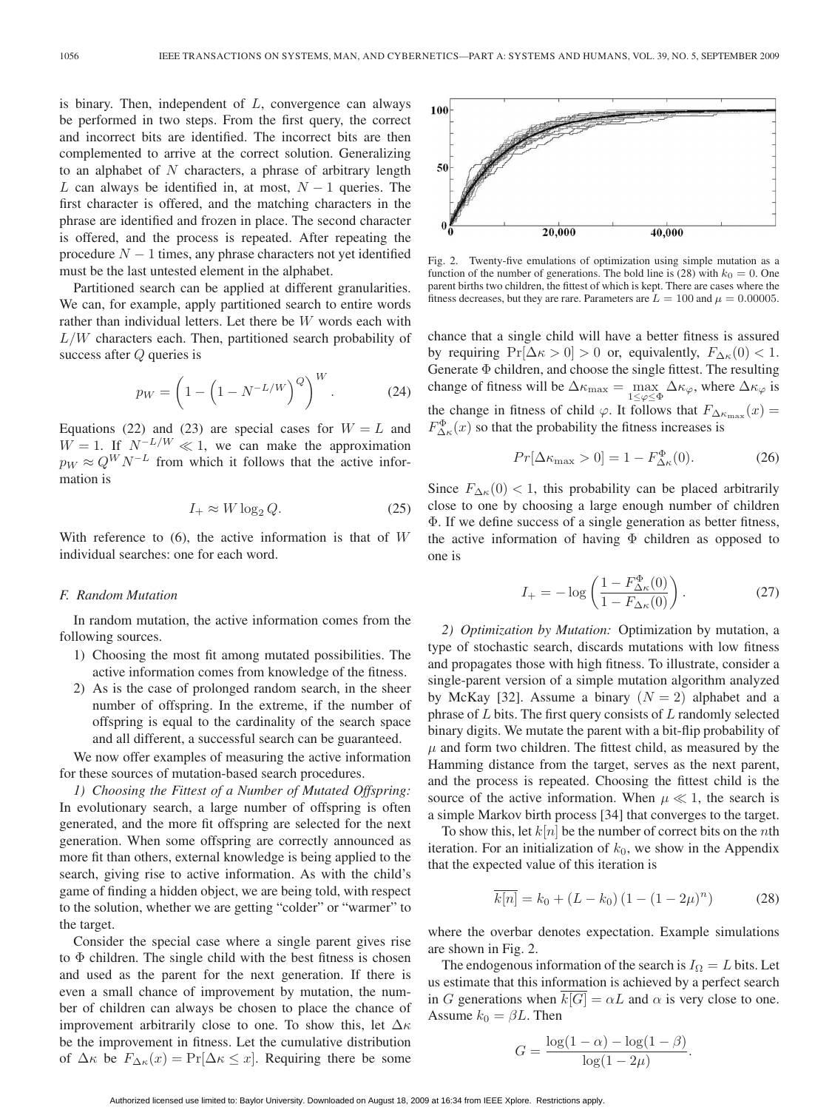is binary. Then, independent of  $L$ , convergence can always be performed in two steps. From the first query, the correct and incorrect bits are identified. The incorrect bits are then complemented to arrive at the correct solution. Generalizing to an alphabet of  $N$  characters, a phrase of arbitrary length L can always be identified in, at most,  $N - 1$  queries. The first character is offered, and the matching characters in the phrase are identified and frozen in place. The second character is offered, and the process is repeated. After repeating the procedure  $N - 1$  times, any phrase characters not yet identified must be the last untested element in the alphabet.

Partitioned search can be applied at different granularities. We can, for example, apply partitioned search to entire words rather than individual letters. Let there be W words each with  $L/W$  characters each. Then, partitioned search probability of success after Q queries is

$$
p_W = \left(1 - \left(1 - N^{-L/W}\right)^Q\right)^W.
$$
 (24)

Equations (22) and (23) are special cases for  $W = L$  and  $W = 1$ . If  $N^{-L/W} \ll 1$ , we can make the approximation  $p_W \approx Q^W N^{-L}$  from which it follows that the active information is

$$
I_{+} \approx W \log_2 Q. \tag{25}
$$

With reference to  $(6)$ , the active information is that of W individual searches: one for each word.

#### *F. Random Mutation*

In random mutation, the active information comes from the following sources.

- 1) Choosing the most fit among mutated possibilities. The active information comes from knowledge of the fitness.
- 2) As is the case of prolonged random search, in the sheer number of offspring. In the extreme, if the number of offspring is equal to the cardinality of the search space and all different, a successful search can be guaranteed.

We now offer examples of measuring the active information for these sources of mutation-based search procedures.

*1) Choosing the Fittest of a Number of Mutated Offspring:* In evolutionary search, a large number of offspring is often generated, and the more fit offspring are selected for the next generation. When some offspring are correctly announced as more fit than others, external knowledge is being applied to the search, giving rise to active information. As with the child's game of finding a hidden object, we are being told, with respect to the solution, whether we are getting "colder" or "warmer" to the target.

Consider the special case where a single parent gives rise to  $\Phi$  children. The single child with the best fitness is chosen and used as the parent for the next generation. If there is even a small chance of improvement by mutation, the number of children can always be chosen to place the chance of improvement arbitrarily close to one. To show this, let  $\Delta \kappa$ be the improvement in fitness. Let the cumulative distribution of  $\Delta \kappa$  be  $F_{\Delta \kappa}(x) = \Pr[\Delta \kappa \leq x]$ . Requiring there be some



Fig. 2. Twenty-five emulations of optimization using simple mutation as a function of the number of generations. The bold line is (28) with  $k_0 = 0$ . One parent births two children, the fittest of which is kept. There are cases where the fitness decreases, but they are rare. Parameters are  $\bar{L} = 100$  and  $\mu = 0.00005$ .

chance that a single child will have a better fitness is assured by requiring  $Pr[\Delta \kappa > 0] > 0$  or, equivalently,  $F_{\Delta \kappa}(0) < 1$ . Generate Φ children, and choose the single fittest. The resulting change of fitness will be  $\Delta \kappa_{\text{max}} = \max_{1 \le \varphi \le \Phi} \Delta \kappa_{\varphi}$ , where  $\Delta \kappa_{\varphi}$  is the change in fitness of child  $\varphi$ . It follows that  $F_{\Delta \kappa_{\text{max}}}(x) =$  $F_{\Delta\kappa}^{\Phi}(x)$  so that the probability the fitness increases is

$$
Pr[\Delta \kappa_{\text{max}} > 0] = 1 - F^{\Phi}_{\Delta \kappa}(0). \tag{26}
$$

Since  $F_{\Delta \kappa}(0) < 1$ , this probability can be placed arbitrarily close to one by choosing a large enough number of children Φ. If we define success of a single generation as better fitness, the active information of having  $\Phi$  children as opposed to one is

$$
I_{+} = -\log\left(\frac{1 - F^{\Phi}_{\Delta\kappa}(0)}{1 - F_{\Delta\kappa}(0)}\right). \tag{27}
$$

*2) Optimization by Mutation:* Optimization by mutation, a type of stochastic search, discards mutations with low fitness and propagates those with high fitness. To illustrate, consider a single-parent version of a simple mutation algorithm analyzed by McKay [32]. Assume a binary  $(N = 2)$  alphabet and a phrase of  $L$  bits. The first query consists of  $L$  randomly selected binary digits. We mutate the parent with a bit-flip probability of  $\mu$  and form two children. The fittest child, as measured by the Hamming distance from the target, serves as the next parent, and the process is repeated. Choosing the fittest child is the source of the active information. When  $\mu \ll 1$ , the search is a simple Markov birth process [34] that converges to the target.

To show this, let  $k[n]$  be the number of correct bits on the *n*th iteration. For an initialization of  $k_0$ , we show in the Appendix that the expected value of this iteration is

$$
\overline{k[n]} = k_0 + (L - k_0) (1 - (1 - 2\mu)^n)
$$
 (28)

where the overbar denotes expectation. Example simulations are shown in Fig. 2.

The endogenous information of the search is  $I_{\Omega} = L$  bits. Let us estimate that this information is achieved by a perfect search in G generations when  $k[G] = \alpha L$  and  $\alpha$  is very close to one. Assume  $k_0 = \beta L$ . Then

$$
G = \frac{\log(1 - \alpha) - \log(1 - \beta)}{\log(1 - 2\mu)}.
$$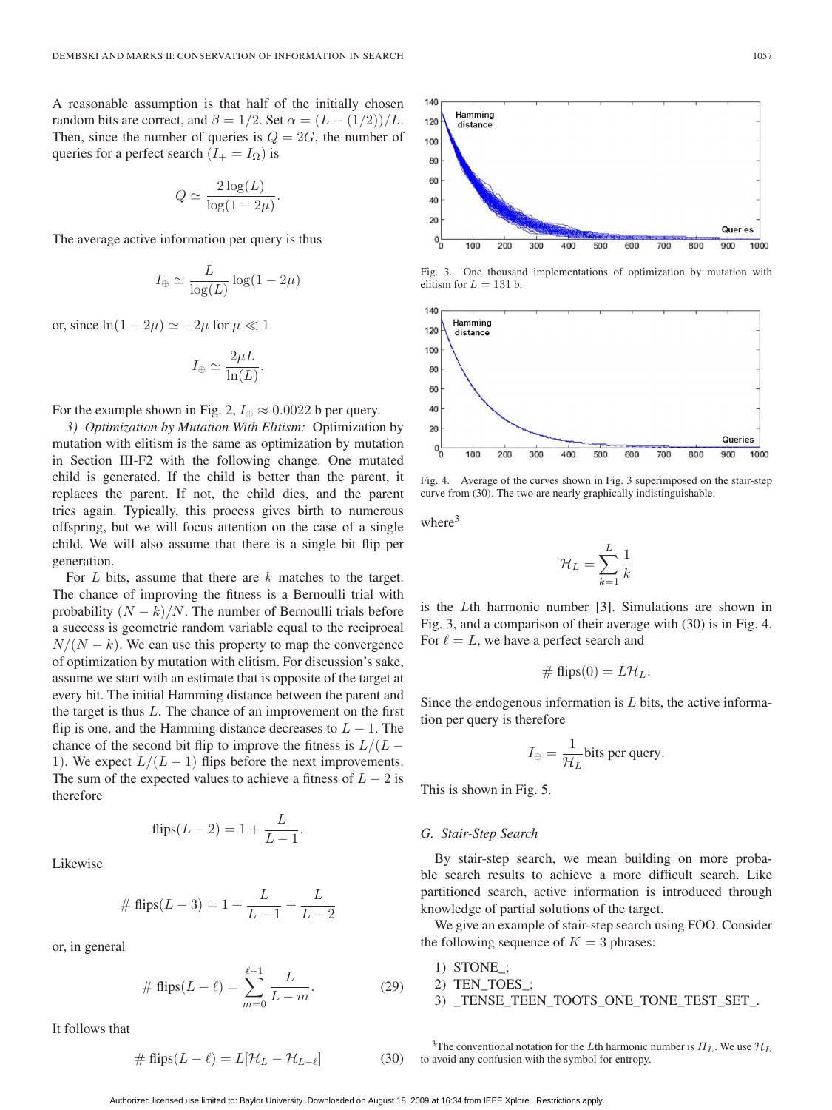A reasonable assumption is that half of the initially chosen random bits are correct, and  $\beta = 1/2$ . Set  $\alpha = (L - (1/2))/L$ . Then, since the number of queries is  $Q = 2G$ , the number of queries for a perfect search  $(I_{+} = I_{\Omega})$  is

$$
Q \simeq \frac{2\log(L)}{\log(1 - 2\mu)}.
$$

The average active information per query is thus

$$
I_{\oplus} \simeq \frac{L}{\log(L)} \log(1 - 2\mu)
$$

or, since  $ln(1-2\mu) \simeq -2\mu$  for  $\mu \ll 1$ 

$$
I_{\oplus} \simeq \frac{2\mu L}{\ln(L)}.
$$

For the example shown in Fig. 2,  $I_{\oplus} \approx 0.0022$  b per query.

*3) Optimization by Mutation With Elitism:* Optimization by mutation with elitism is the same as optimization by mutation in Section III-F2 with the following change. One mutated child is generated. If the child is better than the parent, it replaces the parent. If not, the child dies, and the parent tries again. Typically, this process gives birth to numerous offspring, but we will focus attention on the case of a single child. We will also assume that there is a single bit flip per generation.

For  $L$  bits, assume that there are  $k$  matches to the target. The chance of improving the fitness is a Bernoulli trial with probability  $(N - k)/N$ . The number of Bernoulli trials before a success is geometric random variable equal to the reciprocal  $N/(N - k)$ . We can use this property to map the convergence of optimization by mutation with elitism. For discussion's sake, assume we start with an estimate that is opposite of the target at every bit. The initial Hamming distance between the parent and the target is thus  $L$ . The chance of an improvement on the first flip is one, and the Hamming distance decreases to  $L - 1$ . The chance of the second bit flip to improve the fitness is  $L/(L -$ 1). We expect  $L/(L - 1)$  flips before the next improvements. The sum of the expected values to achieve a fitness of  $L - 2$  is therefore

$$
\text{flips}(L-2) = 1 + \frac{L}{L-1}.
$$

Likewise

# flips
$$
(L-3) = 1 + \frac{L}{L-1} + \frac{L}{L-2}
$$

or, in general

# flips
$$
(L - \ell) = \sum_{m=0}^{\ell-1} \frac{L}{L - m}.
$$
 (29)

It follows that

$$
\#\text{ flips}(L - \ell) = L[\mathcal{H}_L - \mathcal{H}_{L - \ell}] \tag{30}
$$



Fig. 3. One thousand implementations of optimization by mutation with elitism for  $L = 131$  b.



Fig. 4. Average of the curves shown in Fig. 3 superimposed on the stair-step curve from (30). The two are nearly graphically indistinguishable.

where $3$ 

$$
\mathcal{H}_L = \sum_{k=1}^L \frac{1}{k}
$$

is the Lth harmonic number [3]. Simulations are shown in Fig. 3, and a comparison of their average with (30) is in Fig. 4. For  $\ell = L$ , we have a perfect search and

$$
\#\text{ flips}(0) = L\mathcal{H}_L.
$$

Since the endogenous information is  $L$  bits, the active information per query is therefore

$$
I_{\oplus} = \frac{1}{\mathcal{H}_L}
$$
 bits per query.

This is shown in Fig. 5.

# *G. Stair-Step Search*

By stair-step search, we mean building on more probable search results to achieve a more difficult search. Like partitioned search, active information is introduced through knowledge of partial solutions of the target.

We give an example of stair-step search using FOO. Consider the following sequence of  $K = 3$  phrases:

- 1) STONE\_;
- 2) TEN\_TOES\_;
- 3) \_TENSE\_TEEN\_TOOTS\_ONE\_TONE\_TEST\_SET\_.

<sup>3</sup>The conventional notation for the Lth harmonic number is  $H_L$ . We use  $\mathcal{H}_L$ to avoid any confusion with the symbol for entropy.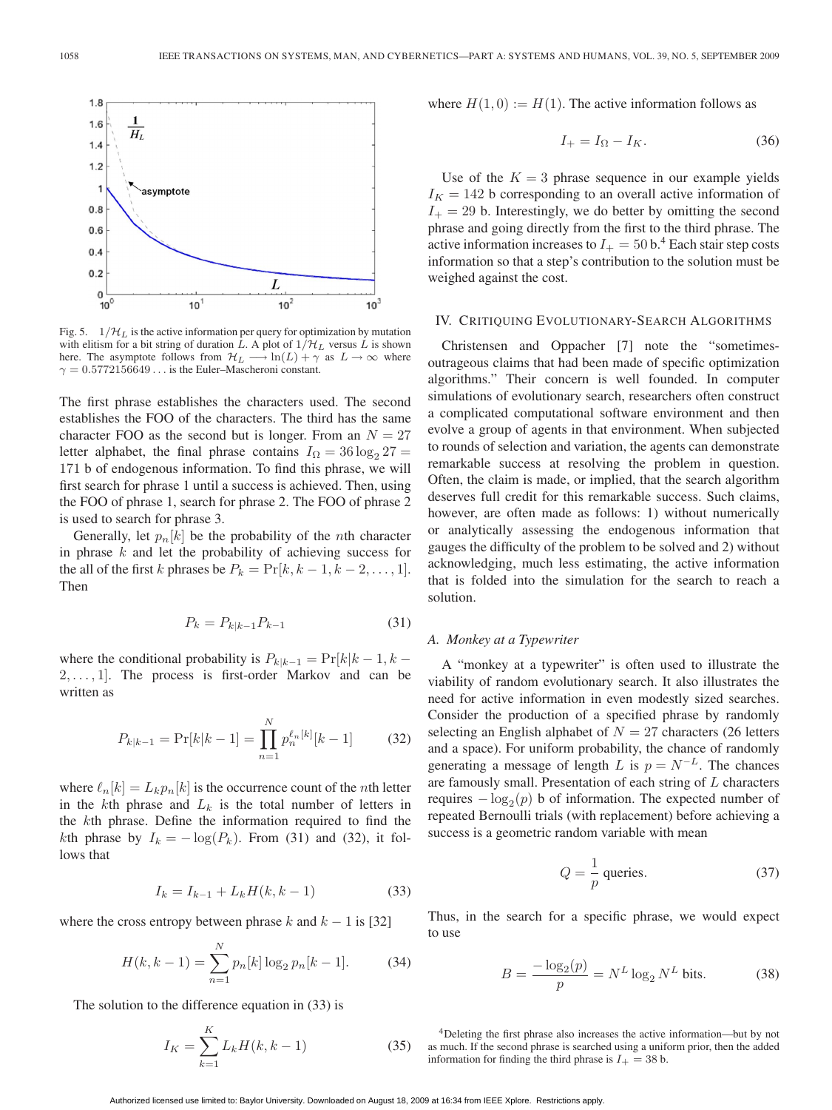

Fig. 5.  $1/\mathcal{H}_L$  is the active information per query for optimization by mutation with elitism for a bit string of duration L. A plot of  $1/\mathcal{H}_L$  versus L is shown here. The asymptote follows from  $\mathcal{H}_L \longrightarrow \ln(L) + \gamma$  as  $L \to \infty$  where  $\gamma = 0.5772156649...$  is the Euler–Mascheroni constant.

The first phrase establishes the characters used. The second establishes the FOO of the characters. The third has the same character FOO as the second but is longer. From an  $N = 27$ letter alphabet, the final phrase contains  $I_{\Omega} = 36 \log_2 27 =$ 171 b of endogenous information. To find this phrase, we will first search for phrase 1 until a success is achieved. Then, using the FOO of phrase 1, search for phrase 2. The FOO of phrase 2 is used to search for phrase 3.

Generally, let  $p_n[k]$  be the probability of the *n*th character in phrase  $k$  and let the probability of achieving success for the all of the first k phrases be  $P_k = \Pr[k, k-1, k-2, \ldots, 1].$ Then

$$
P_k = P_{k|k-1} P_{k-1} \tag{31}
$$

where the conditional probability is  $P_{k|k-1} = \Pr[k|k-1, k-1]$ 2,..., 1]. The process is first-order Markov and can be written as

$$
P_{k|k-1} = \Pr[k|k-1] = \prod_{n=1}^{N} p_n^{\ell_n[k]}[k-1]
$$
 (32)

where  $\ell_n[k] = L_k p_n[k]$  is the occurrence count of the *n*th letter in the kth phrase and  $L_k$  is the total number of letters in the kth phrase. Define the information required to find the kth phrase by  $I_k = -\log(P_k)$ . From (31) and (32), it follows that

$$
I_k = I_{k-1} + L_k H(k, k-1)
$$
\n(33)

where the cross entropy between phrase k and  $k - 1$  is [32]

$$
H(k, k-1) = \sum_{n=1}^{N} p_n[k] \log_2 p_n[k-1].
$$
 (34)

The solution to the difference equation in (33) is

$$
I_K = \sum_{k=1}^{K} L_k H(k, k-1)
$$
 (35)

where  $H(1, 0) := H(1)$ . The active information follows as

$$
I_{+} = I_{\Omega} - I_{K}.\tag{36}
$$

Use of the  $K = 3$  phrase sequence in our example yields  $I<sub>K</sub> = 142$  b corresponding to an overall active information of  $I_+ = 29$  b. Interestingly, we do better by omitting the second phrase and going directly from the first to the third phrase. The active information increases to  $I_+ = 50$  b.<sup>4</sup> Each stair step costs information so that a step's contribution to the solution must be weighed against the cost.

# IV. CRITIQUING EVOLUTIONARY-SEARCH ALGORITHMS

Christensen and Oppacher [7] note the "sometimesoutrageous claims that had been made of specific optimization algorithms." Their concern is well founded. In computer simulations of evolutionary search, researchers often construct a complicated computational software environment and then evolve a group of agents in that environment. When subjected to rounds of selection and variation, the agents can demonstrate remarkable success at resolving the problem in question. Often, the claim is made, or implied, that the search algorithm deserves full credit for this remarkable success. Such claims, however, are often made as follows: 1) without numerically or analytically assessing the endogenous information that gauges the difficulty of the problem to be solved and 2) without acknowledging, much less estimating, the active information that is folded into the simulation for the search to reach a solution.

#### *A. Monkey at a Typewriter*

A "monkey at a typewriter" is often used to illustrate the viability of random evolutionary search. It also illustrates the need for active information in even modestly sized searches. Consider the production of a specified phrase by randomly selecting an English alphabet of  $N = 27$  characters (26 letters and a space). For uniform probability, the chance of randomly generating a message of length L is  $p = N^{-L}$ . The chances are famously small. Presentation of each string of L characters requires  $-\log_2(p)$  b of information. The expected number of repeated Bernoulli trials (with replacement) before achieving a success is a geometric random variable with mean

$$
Q = \frac{1}{p} \text{ queries.} \tag{37}
$$

Thus, in the search for a specific phrase, we would expect to use

$$
B = \frac{-\log_2(p)}{p} = N^L \log_2 N^L \text{ bits.}
$$
 (38)

4Deleting the first phrase also increases the active information—but by not as much. If the second phrase is searched using a uniform prior, then the added information for finding the third phrase is  $I_+ = 38$  b.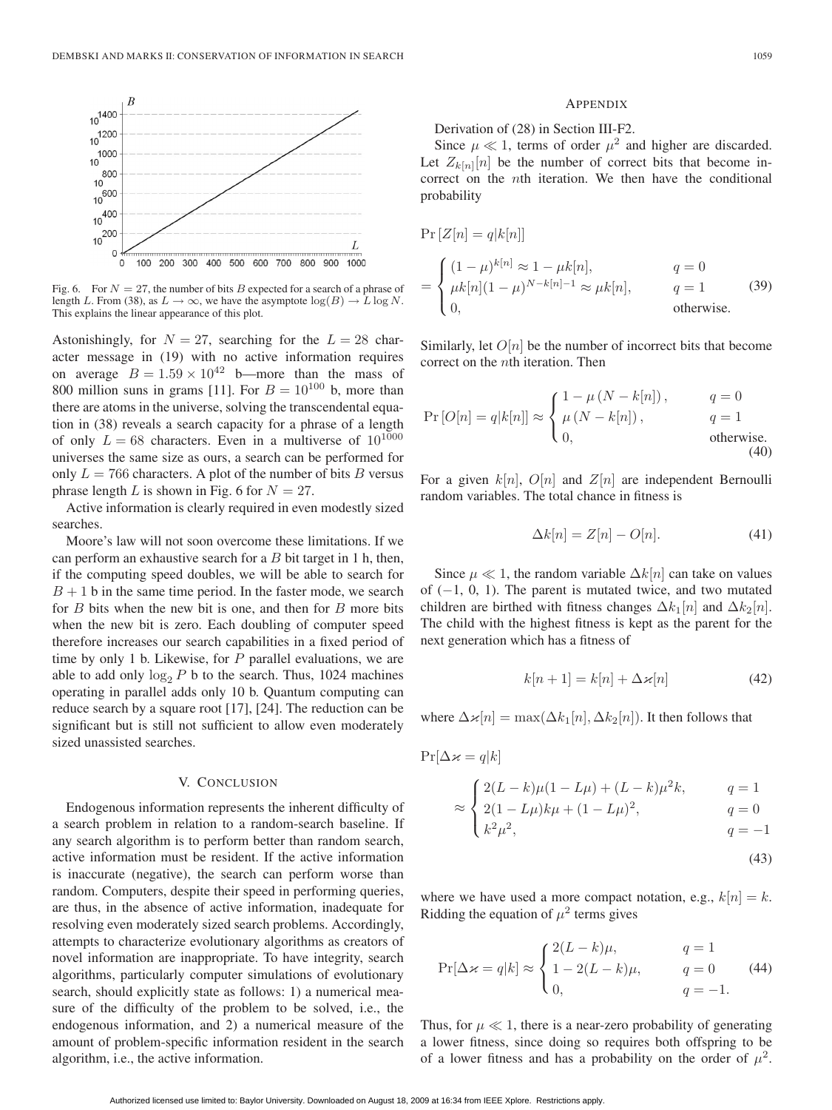

Fig. 6. For  $N = 27$ , the number of bits B expected for a search of a phrase of length L. From (38), as  $L \to \infty$ , we have the asymptote  $\log(B) \to L \log N$ . This explains the linear appearance of this plot.

Astonishingly, for  $N = 27$ , searching for the  $L = 28$  character message in (19) with no active information requires on average  $B = 1.59 \times 10^{42}$  b—more than the mass of 800 million suns in grams [11]. For  $B = 10^{100}$  b, more than there are atoms in the universe, solving the transcendental equation in (38) reveals a search capacity for a phrase of a length of only  $L = 68$  characters. Even in a multiverse of  $10^{1000}$ universes the same size as ours, a search can be performed for only  $L = 766$  characters. A plot of the number of bits B versus phrase length L is shown in Fig. 6 for  $N = 27$ .

Active information is clearly required in even modestly sized searches.

Moore's law will not soon overcome these limitations. If we can perform an exhaustive search for a  $B$  bit target in 1 h, then, if the computing speed doubles, we will be able to search for  $B + 1$  b in the same time period. In the faster mode, we search for  $B$  bits when the new bit is one, and then for  $B$  more bits when the new bit is zero. Each doubling of computer speed therefore increases our search capabilities in a fixed period of time by only 1 b. Likewise, for  $P$  parallel evaluations, we are able to add only  $\log_2 P$  b to the search. Thus, 1024 machines operating in parallel adds only 10 b. Quantum computing can reduce search by a square root [17], [24]. The reduction can be significant but is still not sufficient to allow even moderately sized unassisted searches.

# V. CONCLUSION

Endogenous information represents the inherent difficulty of a search problem in relation to a random-search baseline. If any search algorithm is to perform better than random search, active information must be resident. If the active information is inaccurate (negative), the search can perform worse than random. Computers, despite their speed in performing queries, are thus, in the absence of active information, inadequate for resolving even moderately sized search problems. Accordingly, attempts to characterize evolutionary algorithms as creators of novel information are inappropriate. To have integrity, search algorithms, particularly computer simulations of evolutionary search, should explicitly state as follows: 1) a numerical measure of the difficulty of the problem to be solved, i.e., the endogenous information, and 2) a numerical measure of the amount of problem-specific information resident in the search algorithm, i.e., the active information.

#### APPENDIX

Derivation of (28) in Section III-F2.

Since  $\mu \ll 1$ , terms of order  $\mu^2$  and higher are discarded. Let  $Z_{k[n]}[n]$  be the number of correct bits that become incorrect on the  $n$ th iteration. We then have the conditional probability

$$
\Pr\left[Z[n] = q|k[n]\right]
$$
\n
$$
= \begin{cases}\n(1 - \mu)^{k[n]} \approx 1 - \mu k[n], & q = 0 \\
\mu k[n](1 - \mu)^{N - k[n] - 1} \approx \mu k[n], & q = 1 \\
0, & \text{otherwise.} \n\end{cases}
$$
\n(39)

Similarly, let  $O[n]$  be the number of incorrect bits that become correct on the nth iteration. Then

$$
\Pr\left[O[n] = q|k[n]\right] \approx \begin{cases} 1 - \mu\left(N - k[n]\right), & q = 0\\ \mu\left(N - k[n]\right), & q = 1\\ 0, & \text{otherwise.} \end{cases}
$$
(40)

For a given  $k[n]$ ,  $O[n]$  and  $Z[n]$  are independent Bernoulli random variables. The total chance in fitness is

$$
\Delta k[n] = Z[n] - O[n].\tag{41}
$$

Since  $\mu \ll 1$ , the random variable  $\Delta k[n]$  can take on values of  $(-1, 0, 1)$ . The parent is mutated twice, and two mutated children are birthed with fitness changes  $\Delta k_1[n]$  and  $\Delta k_2[n]$ . The child with the highest fitness is kept as the parent for the next generation which has a fitness of

$$
k[n+1] = k[n] + \Delta \varkappa[n] \tag{42}
$$

where  $\Delta \varkappa[n] = \max(\Delta k_1[n], \Delta k_2[n])$ . It then follows that

$$
\Pr[\Delta \varkappa = q|k] \n\approx \begin{cases}\n2(L - k)\mu(1 - L\mu) + (L - k)\mu^2 k, & q = 1 \\
2(1 - L\mu)k\mu + (1 - L\mu)^2, & q = 0 \\
k^2 \mu^2, & q = -1\n\end{cases}
$$
\n(43)

where we have used a more compact notation, e.g.,  $k[n] = k$ . Ridding the equation of  $\mu^2$  terms gives

$$
\Pr[\Delta \varkappa = q|k] \approx \begin{cases} 2(L-k)\mu, & q=1\\ 1-2(L-k)\mu, & q=0\\ 0, & q=-1. \end{cases}
$$
(44)

Thus, for  $\mu \ll 1$ , there is a near-zero probability of generating a lower fitness, since doing so requires both offspring to be of a lower fitness and has a probability on the order of  $\mu^2$ .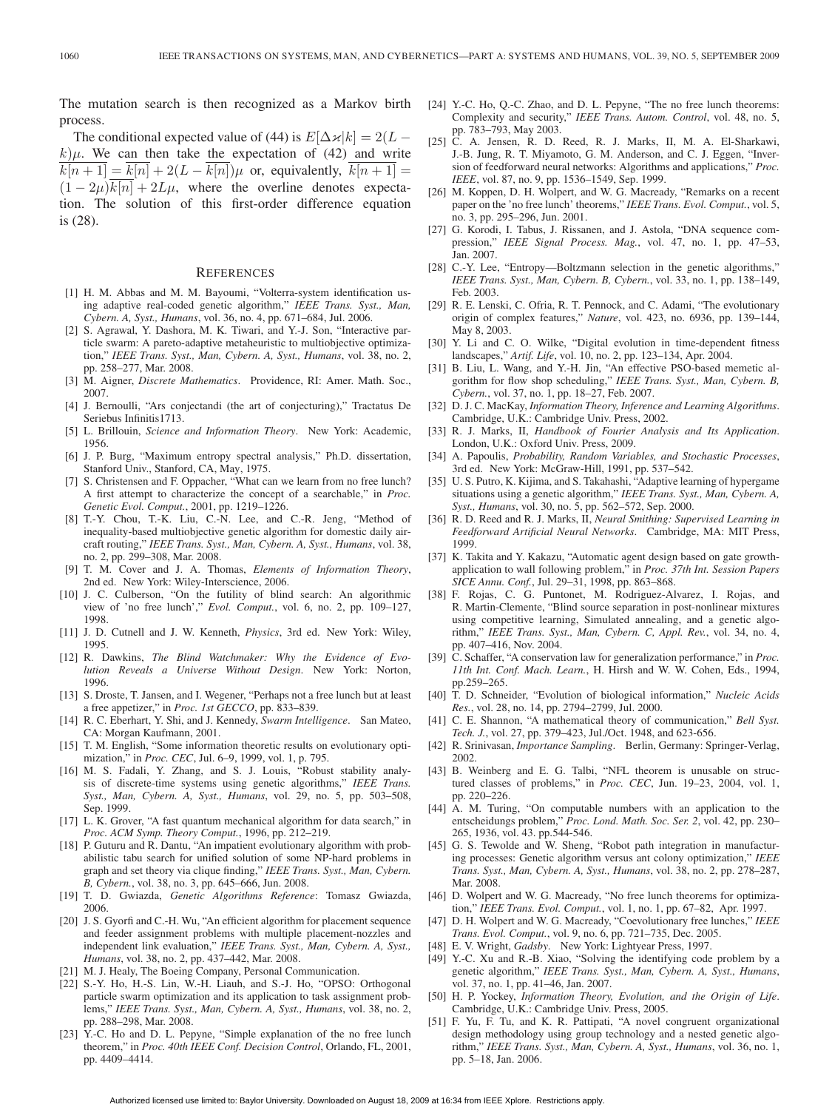The mutation search is then recognized as a Markov birth process.

The conditional expected value of (44) is  $E[\Delta \varkappa |k] = 2(L$ k) $\mu$ . We can then take the expectation of (42) and write  $k[n+1] = k[n] + 2(L - k[n])\mu$  or, equivalently,  $k[n+1] =$  $(1 - 2\mu)k[n] + 2L\mu$ , where the overline denotes expectation. The solution of this first-order difference equation is (28).

#### **REFERENCES**

- [1] H. M. Abbas and M. M. Bayoumi, "Volterra-system identification using adaptive real-coded genetic algorithm," *IEEE Trans. Syst., Man, Cybern. A, Syst., Humans*, vol. 36, no. 4, pp. 671–684, Jul. 2006.
- [2] S. Agrawal, Y. Dashora, M. K. Tiwari, and Y.-J. Son, "Interactive particle swarm: A pareto-adaptive metaheuristic to multiobjective optimization," *IEEE Trans. Syst., Man, Cybern. A, Syst., Humans*, vol. 38, no. 2, pp. 258–277, Mar. 2008.
- [3] M. Aigner, *Discrete Mathematics*. Providence, RI: Amer. Math. Soc., 2007.
- [4] J. Bernoulli, "Ars conjectandi (the art of conjecturing)," Tractatus De Seriebus Infinitis1713.
- [5] L. Brillouin, *Science and Information Theory*. New York: Academic, 1956.
- [6] J. P. Burg, "Maximum entropy spectral analysis," Ph.D. dissertation, Stanford Univ., Stanford, CA, May, 1975.
- [7] S. Christensen and F. Oppacher, "What can we learn from no free lunch? A first attempt to characterize the concept of a searchable," in *Proc. Genetic Evol. Comput.*, 2001, pp. 1219–1226.
- [8] T.-Y. Chou, T.-K. Liu, C.-N. Lee, and C.-R. Jeng, "Method of inequality-based multiobjective genetic algorithm for domestic daily aircraft routing," *IEEE Trans. Syst., Man, Cybern. A, Syst., Humans*, vol. 38, no. 2, pp. 299–308, Mar. 2008.
- [9] T. M. Cover and J. A. Thomas, *Elements of Information Theory*, 2nd ed. New York: Wiley-Interscience, 2006.
- [10] J. C. Culberson, "On the futility of blind search: An algorithmic view of 'no free lunch'," *Evol. Comput.*, vol. 6, no. 2, pp. 109–127, 1998.
- [11] J. D. Cutnell and J. W. Kenneth, *Physics*, 3rd ed. New York: Wiley, 1995.
- [12] R. Dawkins, *The Blind Watchmaker: Why the Evidence of Evolution Reveals a Universe Without Design*. New York: Norton, 1996.
- [13] S. Droste, T. Jansen, and I. Wegener, "Perhaps not a free lunch but at least a free appetizer," in *Proc. 1st GECCO*, pp. 833–839.
- [14] R. C. Eberhart, Y. Shi, and J. Kennedy, *Swarm Intelligence*. San Mateo, CA: Morgan Kaufmann, 2001.
- [15] T. M. English, "Some information theoretic results on evolutionary optimization," in *Proc. CEC*, Jul. 6–9, 1999, vol. 1, p. 795.
- [16] M. S. Fadali, Y. Zhang, and S. J. Louis, "Robust stability analysis of discrete-time systems using genetic algorithms," *IEEE Trans. Syst., Man, Cybern. A, Syst., Humans*, vol. 29, no. 5, pp. 503–508, Sep. 1999.
- [17] L. K. Grover, "A fast quantum mechanical algorithm for data search," in *Proc. ACM Symp. Theory Comput.*, 1996, pp. 212–219.
- [18] P. Guturu and R. Dantu, "An impatient evolutionary algorithm with probabilistic tabu search for unified solution of some NP-hard problems in graph and set theory via clique finding," *IEEE Trans. Syst., Man, Cybern. B, Cybern.*, vol. 38, no. 3, pp. 645–666, Jun. 2008.
- [19] T. D. Gwiazda, *Genetic Algorithms Reference*: Tomasz Gwiazda, 2006.
- [20] J. S. Gyorfi and C.-H. Wu, "An efficient algorithm for placement sequence and feeder assignment problems with multiple placement-nozzles and independent link evaluation," *IEEE Trans. Syst., Man, Cybern. A, Syst., Humans*, vol. 38, no. 2, pp. 437–442, Mar. 2008.
- [21] M. J. Healy, The Boeing Company, Personal Communication.
- [22] S.-Y. Ho, H.-S. Lin, W.-H. Liauh, and S.-J. Ho, "OPSO: Orthogonal particle swarm optimization and its application to task assignment problems," *IEEE Trans. Syst., Man, Cybern. A, Syst., Humans*, vol. 38, no. 2, pp. 288–298, Mar. 2008.
- [23]  $\hat{Y}$ .-C. Ho and D. L. Pepyne, "Simple explanation of the no free lunch theorem," in *Proc. 40th IEEE Conf. Decision Control*, Orlando, FL, 2001, pp. 4409–4414.
- [24] Y.-C. Ho, Q.-C. Zhao, and D. L. Pepyne, "The no free lunch theorems: Complexity and security," *IEEE Trans. Autom. Control*, vol. 48, no. 5, pp. 783–793, May 2003.
- [25] C. A. Jensen, R. D. Reed, R. J. Marks, II, M. A. El-Sharkawi, J.-B. Jung, R. T. Miyamoto, G. M. Anderson, and C. J. Eggen, "Inversion of feedforward neural networks: Algorithms and applications," *Proc. IEEE*, vol. 87, no. 9, pp. 1536–1549, Sep. 1999.
- [26] M. Koppen, D. H. Wolpert, and W. G. Macready, "Remarks on a recent paper on the 'no free lunch' theorems," *IEEE Trans. Evol. Comput.*, vol. 5, no. 3, pp. 295–296, Jun. 2001.
- [27] G. Korodi, I. Tabus, J. Rissanen, and J. Astola, "DNA sequence compression," *IEEE Signal Process. Mag.*, vol. 47, no. 1, pp. 47–53, Jan. 2007.
- [28] C.-Y. Lee, "Entropy—Boltzmann selection in the genetic algorithms," *IEEE Trans. Syst., Man, Cybern. B, Cybern.*, vol. 33, no. 1, pp. 138–149, Feb. 2003.
- [29] R. E. Lenski, C. Ofria, R. T. Pennock, and C. Adami, "The evolutionary origin of complex features," *Nature*, vol. 423, no. 6936, pp. 139–144, May 8, 2003.
- [30] Y. Li and C. O. Wilke, "Digital evolution in time-dependent fitness landscapes," *Artif. Life*, vol. 10, no. 2, pp. 123–134, Apr. 2004.
- [31] B. Liu, L. Wang, and Y.-H. Jin, "An effective PSO-based memetic algorithm for flow shop scheduling," *IEEE Trans. Syst., Man, Cybern. B, Cybern.*, vol. 37, no. 1, pp. 18–27, Feb. 2007.
- [32] D. J. C. MacKay, *Information Theory, Inference and Learning Algorithms*. Cambridge, U.K.: Cambridge Univ. Press, 2002.
- [33] R. J. Marks, II, *Handbook of Fourier Analysis and Its Application*. London, U.K.: Oxford Univ. Press, 2009.
- [34] A. Papoulis, *Probability, Random Variables, and Stochastic Processes*, 3rd ed. New York: McGraw-Hill, 1991, pp. 537–542.
- [35] U. S. Putro, K. Kijima, and S. Takahashi, "Adaptive learning of hypergame situations using a genetic algorithm," *IEEE Trans. Syst., Man, Cybern. A, Syst., Humans*, vol. 30, no. 5, pp. 562–572, Sep. 2000.
- [36] R. D. Reed and R. J. Marks, II, *Neural Smithing: Supervised Learning in Feedforward Artificial Neural Networks*. Cambridge, MA: MIT Press, 1999.
- [37] K. Takita and Y. Kakazu, "Automatic agent design based on gate growthapplication to wall following problem," in *Proc. 37th Int. Session Papers SICE Annu. Conf.*, Jul. 29–31, 1998, pp. 863–868.
- [38] F. Rojas, C. G. Puntonet, M. Rodriguez-Alvarez, I. Rojas, and R. Martin-Clemente, "Blind source separation in post-nonlinear mixtures using competitive learning, Simulated annealing, and a genetic algorithm," *IEEE Trans. Syst., Man, Cybern. C, Appl. Rev.*, vol. 34, no. 4, pp. 407–416, Nov. 2004.
- [39] C. Schaffer, "A conservation law for generalization performance," in *Proc. 11th Int. Conf. Mach. Learn.*, H. Hirsh and W. W. Cohen, Eds., 1994, pp.259–265.
- [40] T. D. Schneider, "Evolution of biological information," *Nucleic Acids Res.*, vol. 28, no. 14, pp. 2794–2799, Jul. 2000.
- [41] C. E. Shannon, "A mathematical theory of communication," *Bell Syst. Tech. J.*, vol. 27, pp. 379–423, Jul./Oct. 1948, and 623-656.
- [42] R. Srinivasan, *Importance Sampling*. Berlin, Germany: Springer-Verlag, 2002.
- [43] B. Weinberg and E. G. Talbi, "NFL theorem is unusable on structured classes of problems," in *Proc. CEC*, Jun. 19–23, 2004, vol. 1, pp. 220–226.
- [44] A. M. Turing, "On computable numbers with an application to the entscheidungs problem," *Proc. Lond. Math. Soc. Ser. 2*, vol. 42, pp. 230– 265, 1936, vol. 43. pp.544-546.
- [45] G. S. Tewolde and W. Sheng, "Robot path integration in manufacturing processes: Genetic algorithm versus ant colony optimization," *IEEE Trans. Syst., Man, Cybern. A, Syst., Humans*, vol. 38, no. 2, pp. 278–287, Mar. 2008.
- [46] D. Wolpert and W. G. Macready, "No free lunch theorems for optimization," *IEEE Trans. Evol. Comput.*, vol. 1, no. 1, pp. 67–82, Apr. 1997.
- [47] D. H. Wolpert and W. G. Macready, "Coevolutionary free lunches," *IEEE Trans. Evol. Comput.*, vol. 9, no. 6, pp. 721–735, Dec. 2005.
- [48] E. V. Wright, *Gadsby*. New York: Lightyear Press, 1997.
- [49] Y.-C. Xu and R.-B. Xiao, "Solving the identifying code problem by a genetic algorithm," *IEEE Trans. Syst., Man, Cybern. A, Syst., Humans*, vol. 37, no. 1, pp. 41–46, Jan. 2007.
- [50] H. P. Yockey, *Information Theory, Evolution, and the Origin of Life*. Cambridge, U.K.: Cambridge Univ. Press, 2005.
- [51] F. Yu, F. Tu, and K. R. Pattipati, "A novel congruent organizational design methodology using group technology and a nested genetic algorithm," *IEEE Trans. Syst., Man, Cybern. A, Syst., Humans*, vol. 36, no. 1, pp. 5–18, Jan. 2006.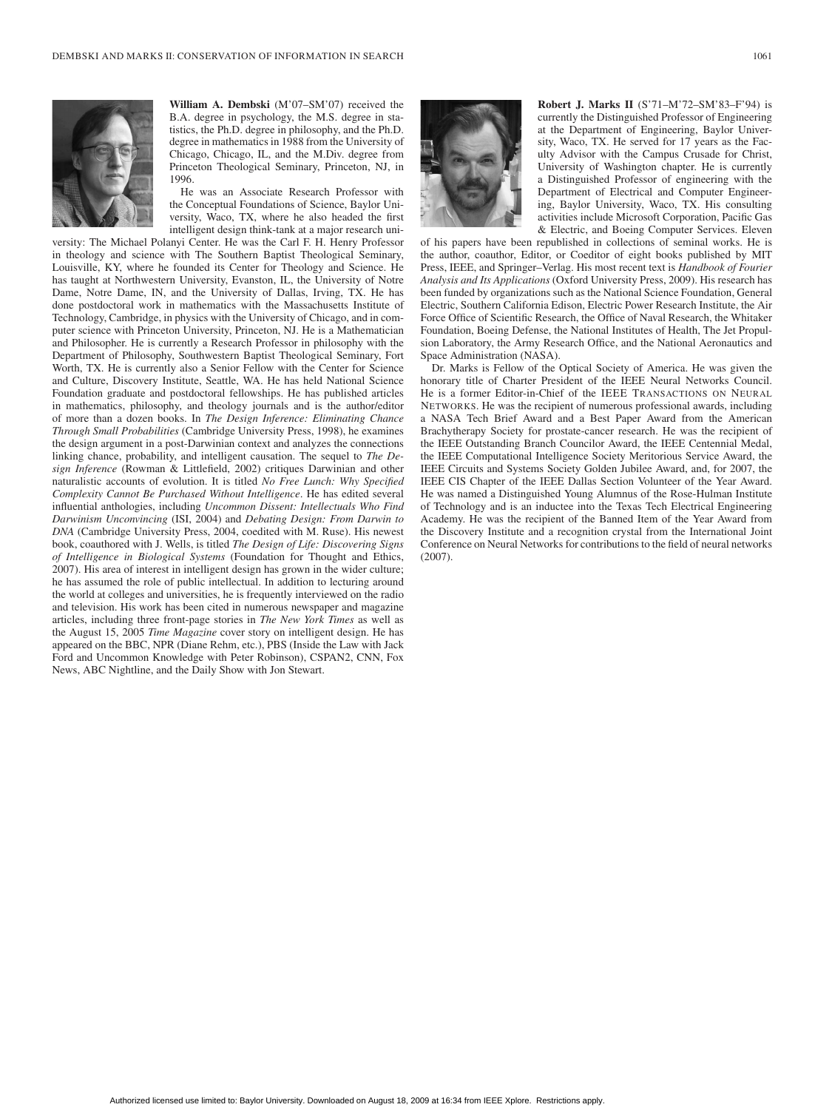

**William A. Dembski** (M'07–SM'07) received the B.A. degree in psychology, the M.S. degree in statistics, the Ph.D. degree in philosophy, and the Ph.D. degree in mathematics in 1988 from the University of Chicago, Chicago, IL, and the M.Div. degree from Princeton Theological Seminary, Princeton, NJ, in 1996.

He was an Associate Research Professor with the Conceptual Foundations of Science, Baylor University, Waco, TX, where he also headed the first intelligent design think-tank at a major research uni-

versity: The Michael Polanyi Center. He was the Carl F. H. Henry Professor in theology and science with The Southern Baptist Theological Seminary, Louisville, KY, where he founded its Center for Theology and Science. He has taught at Northwestern University, Evanston, IL, the University of Notre Dame, Notre Dame, IN, and the University of Dallas, Irving, TX. He has done postdoctoral work in mathematics with the Massachusetts Institute of Technology, Cambridge, in physics with the University of Chicago, and in computer science with Princeton University, Princeton, NJ. He is a Mathematician and Philosopher. He is currently a Research Professor in philosophy with the Department of Philosophy, Southwestern Baptist Theological Seminary, Fort Worth, TX. He is currently also a Senior Fellow with the Center for Science and Culture, Discovery Institute, Seattle, WA. He has held National Science Foundation graduate and postdoctoral fellowships. He has published articles in mathematics, philosophy, and theology journals and is the author/editor of more than a dozen books. In *The Design Inference: Eliminating Chance Through Small Probabilities* (Cambridge University Press, 1998), he examines the design argument in a post-Darwinian context and analyzes the connections linking chance, probability, and intelligent causation. The sequel to *The Design Inference* (Rowman & Littlefield, 2002) critiques Darwinian and other naturalistic accounts of evolution. It is titled *No Free Lunch: Why Specified Complexity Cannot Be Purchased Without Intelligence*. He has edited several influential anthologies, including *Uncommon Dissent: Intellectuals Who Find Darwinism Unconvincing* (ISI, 2004) and *Debating Design: From Darwin to DNA* (Cambridge University Press, 2004, coedited with M. Ruse). His newest book, coauthored with J. Wells, is titled *The Design of Life: Discovering Signs of Intelligence in Biological Systems* (Foundation for Thought and Ethics, 2007). His area of interest in intelligent design has grown in the wider culture; he has assumed the role of public intellectual. In addition to lecturing around the world at colleges and universities, he is frequently interviewed on the radio and television. His work has been cited in numerous newspaper and magazine articles, including three front-page stories in *The New York Times* as well as the August 15, 2005 *Time Magazine* cover story on intelligent design. He has appeared on the BBC, NPR (Diane Rehm, etc.), PBS (Inside the Law with Jack Ford and Uncommon Knowledge with Peter Robinson), CSPAN2, CNN, Fox News, ABC Nightline, and the Daily Show with Jon Stewart.



**Robert J. Marks II** (S'71–M'72–SM'83–F'94) is currently the Distinguished Professor of Engineering at the Department of Engineering, Baylor University, Waco, TX. He served for 17 years as the Faculty Advisor with the Campus Crusade for Christ, University of Washington chapter. He is currently a Distinguished Professor of engineering with the Department of Electrical and Computer Engineering, Baylor University, Waco, TX. His consulting activities include Microsoft Corporation, Pacific Gas & Electric, and Boeing Computer Services. Eleven

of his papers have been republished in collections of seminal works. He is the author, coauthor, Editor, or Coeditor of eight books published by MIT Press, IEEE, and Springer–Verlag. His most recent text is *Handbook of Fourier Analysis and Its Applications* (Oxford University Press, 2009). His research has been funded by organizations such as the National Science Foundation, General Electric, Southern California Edison, Electric Power Research Institute, the Air Force Office of Scientific Research, the Office of Naval Research, the Whitaker Foundation, Boeing Defense, the National Institutes of Health, The Jet Propulsion Laboratory, the Army Research Office, and the National Aeronautics and Space Administration (NASA).

Dr. Marks is Fellow of the Optical Society of America. He was given the honorary title of Charter President of the IEEE Neural Networks Council. He is a former Editor-in-Chief of the IEEE TRANSACTIONS ON NEURAL NETWORKS. He was the recipient of numerous professional awards, including a NASA Tech Brief Award and a Best Paper Award from the American Brachytherapy Society for prostate-cancer research. He was the recipient of the IEEE Outstanding Branch Councilor Award, the IEEE Centennial Medal, the IEEE Computational Intelligence Society Meritorious Service Award, the IEEE Circuits and Systems Society Golden Jubilee Award, and, for 2007, the IEEE CIS Chapter of the IEEE Dallas Section Volunteer of the Year Award. He was named a Distinguished Young Alumnus of the Rose-Hulman Institute of Technology and is an inductee into the Texas Tech Electrical Engineering Academy. He was the recipient of the Banned Item of the Year Award from the Discovery Institute and a recognition crystal from the International Joint Conference on Neural Networks for contributions to the field of neural networks (2007).